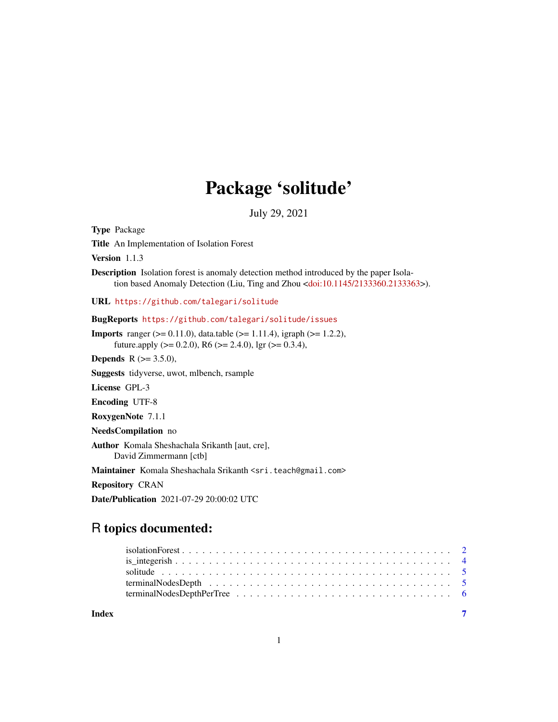## Package 'solitude'

July 29, 2021

<span id="page-0-0"></span>Type Package Title An Implementation of Isolation Forest Version 1.1.3 Description Isolation forest is anomaly detection method introduced by the paper Isola-tion based Anomaly Detection (Liu, Ting and Zhou [<doi:10.1145/2133360.2133363>](https://doi.org/10.1145/2133360.2133363)). URL <https://github.com/talegari/solitude> BugReports <https://github.com/talegari/solitude/issues> **Imports** ranger ( $> = 0.11.0$ ), data.table ( $> = 1.11.4$ ), igraph ( $> = 1.2.2$ ), future.apply ( $> = 0.2.0$ ), R6 ( $> = 2.4.0$ ), lgr ( $> = 0.3.4$ ), **Depends** R  $(>= 3.5.0)$ , Suggests tidyverse, uwot, mlbench, rsample License GPL-3 Encoding UTF-8 RoxygenNote 7.1.1 NeedsCompilation no Author Komala Sheshachala Srikanth [aut, cre], David Zimmermann [ctb] Maintainer Komala Sheshachala Srikanth <sri.teach@gmail.com>

Repository CRAN

Date/Publication 2021-07-29 20:00:02 UTC

### R topics documented:

| Index |  |
|-------|--|

1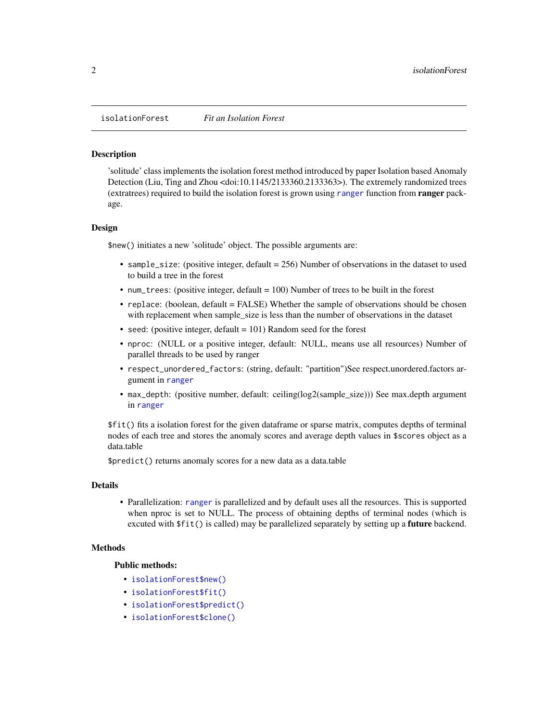<span id="page-1-0"></span>isolationForest *Fit an Isolation Forest*

#### **Description**

'solitude' class implements the isolation forest method introduced by paper Isolation based Anomaly Detection (Liu, Ting and Zhou <doi:10.1145/2133360.2133363>). The extremely randomized trees (extratrees) required to build the isolation forest is grown using [ranger](#page-0-0) function from ranger package.

#### Design

\$new() initiates a new 'solitude' object. The possible arguments are:

- sample\_size: (positive integer, default  $= 256$ ) Number of observations in the dataset to used to build a tree in the forest
- num\_trees: (positive integer, default = 100) Number of trees to be built in the forest
- replace: (boolean, default = FALSE) Whether the sample of observations should be chosen with replacement when sample\_size is less than the number of observations in the dataset
- seed: (positive integer, default  $= 101$ ) Random seed for the forest
- nproc: (NULL or a positive integer, default: NULL, means use all resources) Number of parallel threads to be used by ranger
- respect\_unordered\_factors: (string, default: "partition")See respect.unordered.factors argument in [ranger](#page-0-0)
- max\_depth: (positive number, default: ceiling(log2(sample\_size))) See max.depth argument in [ranger](#page-0-0)

\$fit() fits a isolation forest for the given dataframe or sparse matrix, computes depths of terminal nodes of each tree and stores the anomaly scores and average depth values in \$scores object as a data.table

\$predict() returns anomaly scores for a new data as a data.table

#### Details

• Parallelization: [ranger](#page-0-0) is parallelized and by default uses all the resources. This is supported when nproc is set to NULL. The process of obtaining depths of terminal nodes (which is excuted with  $fit()$  is called) may be parallelized separately by setting up a **future** backend.

#### Methods

#### Public methods:

- [isolationForest\\$new\(\)](#page-1-1)
- [isolationForest\\$fit\(\)](#page-2-0)
- [isolationForest\\$predict\(\)](#page-2-1)
- <span id="page-1-1"></span>• [isolationForest\\$clone\(\)](#page-2-2)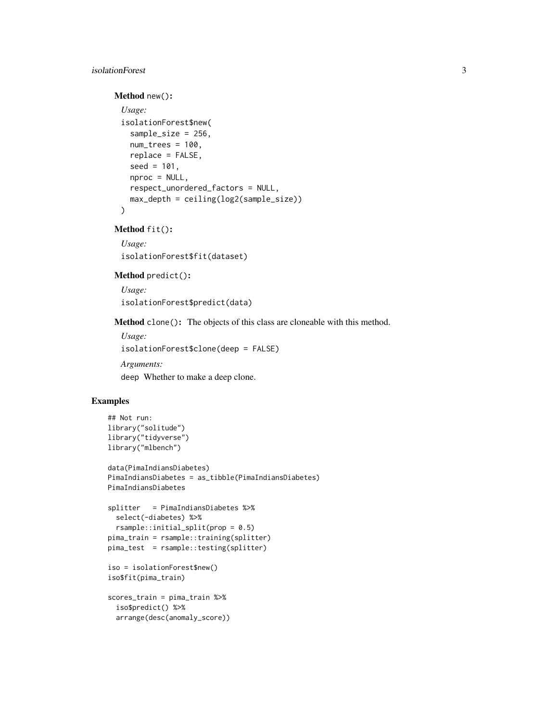#### isolationForest 3

#### Method new():

```
Usage:
isolationForest$new(
  sample_size = 256,
 num\_trees = 100,replace = FALSE,
  seed = 101,
 nproc = NULL,
  respect_unordered_factors = NULL,
 max_depth = ceiling(log2(sample_size))
\lambda
```
<span id="page-2-0"></span>Method fit():

*Usage:* isolationForest\$fit(dataset)

#### <span id="page-2-1"></span>Method predict():

*Usage:* isolationForest\$predict(data)

<span id="page-2-2"></span>Method clone(): The objects of this class are cloneable with this method.

```
Usage:
isolationForest$clone(deep = FALSE)
Arguments:
deep Whether to make a deep clone.
```
#### Examples

```
## Not run:
library("solitude")
library("tidyverse")
library("mlbench")
data(PimaIndiansDiabetes)
PimaIndiansDiabetes = as_tibble(PimaIndiansDiabetes)
PimaIndiansDiabetes
splitter = PimaIndiansDiabetes %>%
  select(-diabetes) %>%
  rsample::initial_split(prop = 0.5)
pima_train = rsample::training(splitter)
pima_test = rsample::testing(splitter)
iso = isolationForest$new()
iso$fit(pima_train)
scores_train = pima_train %>%
  iso$predict() %>%
```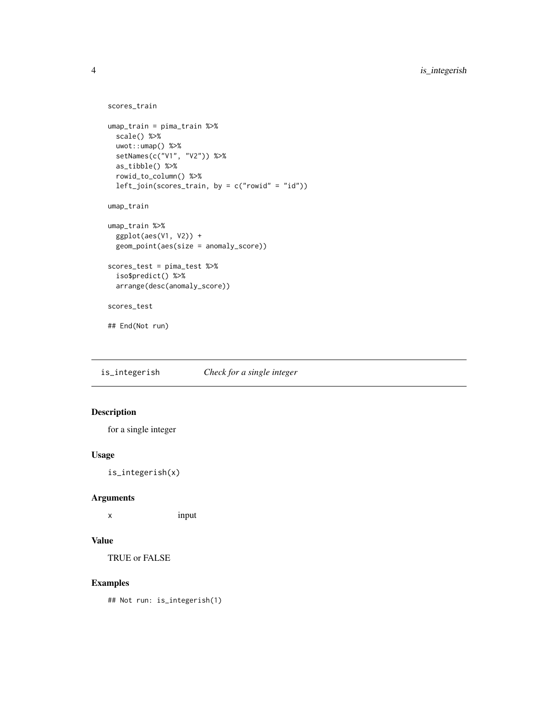```
scores_train
umap_train = pima_train %>%
  scale() %>%
 uwot::umap() %>%
  setNames(c("V1", "V2")) %>%
  as_tibble() %>%
  rowid_to_column() %>%
  left_join(scores_train, by = c("rowid" = "id"))
umap_train
umap_train %>%
  ggplot(aes(V1, V2)) +
  geom_point(aes(size = anomaly_score))
scores_test = pima_test %>%
  iso$predict() %>%
  arrange(desc(anomaly_score))
scores_test
## End(Not run)
```
is\_integerish *Check for a single integer*

#### Description

for a single integer

#### Usage

is\_integerish(x)

#### Arguments

x input

#### Value

TRUE or FALSE

#### Examples

## Not run: is\_integerish(1)

<span id="page-3-0"></span>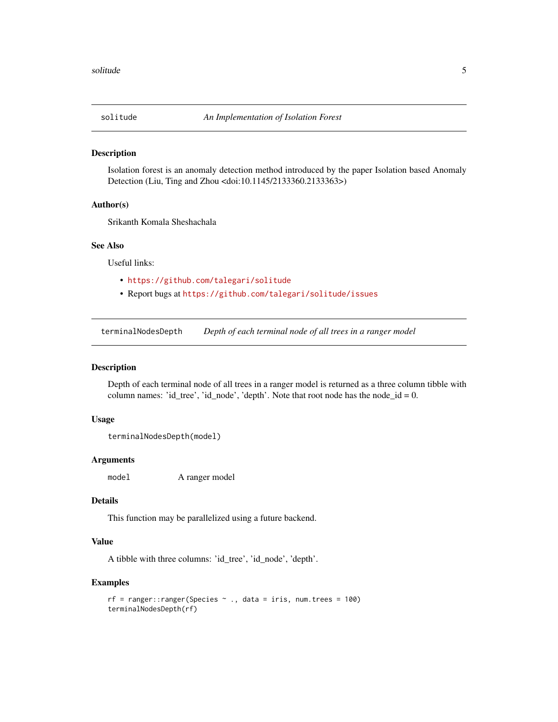<span id="page-4-0"></span>

#### Description

Isolation forest is an anomaly detection method introduced by the paper Isolation based Anomaly Detection (Liu, Ting and Zhou <doi:10.1145/2133360.2133363>)

#### Author(s)

Srikanth Komala Sheshachala

#### See Also

Useful links:

- <https://github.com/talegari/solitude>
- Report bugs at <https://github.com/talegari/solitude/issues>

terminalNodesDepth *Depth of each terminal node of all trees in a ranger model*

#### Description

Depth of each terminal node of all trees in a ranger model is returned as a three column tibble with column names: 'id\_tree', 'id\_node', 'depth'. Note that root node has the node\_id =  $0$ .

#### Usage

```
terminalNodesDepth(model)
```
#### Arguments

model A ranger model

#### Details

This function may be parallelized using a future backend.

#### Value

A tibble with three columns: 'id\_tree', 'id\_node', 'depth'.

#### Examples

```
rf = ranger::ranger(Species \sim ., data = iris, num.trees = 100)
terminalNodesDepth(rf)
```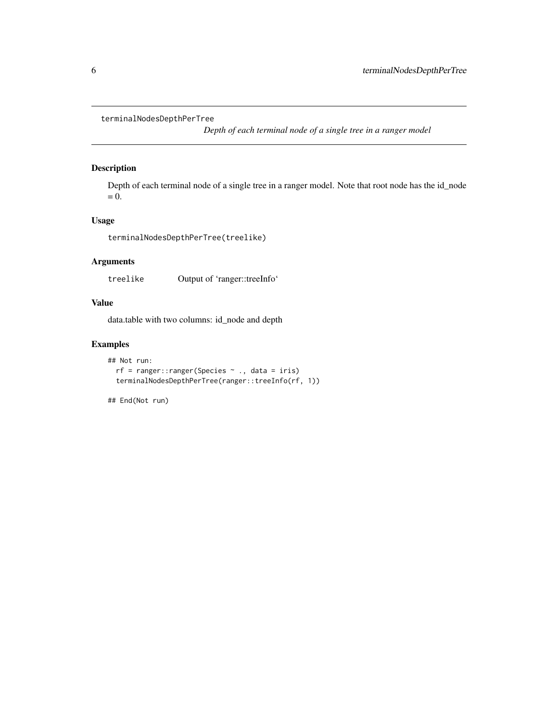```
terminalNodesDepthPerTree
```
*Depth of each terminal node of a single tree in a ranger model*

#### Description

Depth of each terminal node of a single tree in a ranger model. Note that root node has the id\_node  $= 0.$ 

#### Usage

terminalNodesDepthPerTree(treelike)

#### Arguments

treelike Output of 'ranger::treeInfo'

#### Value

data.table with two columns: id\_node and depth

#### Examples

```
## Not run:
 rf = ranger::ranger(Species ~ ., data = iris)
 terminalNodesDepthPerTree(ranger::treeInfo(rf, 1))
```
## End(Not run)